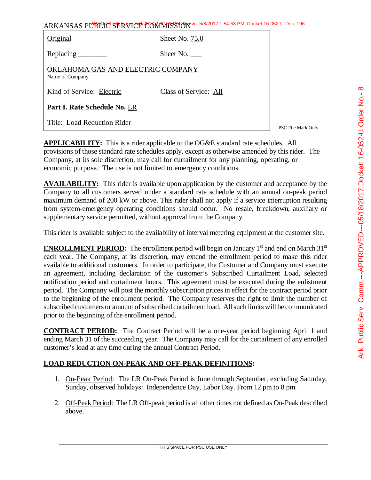| $\frac{1}{2}$                        |
|--------------------------------------|
|                                      |
|                                      |
|                                      |
| ミコラコン<br>こく ニー SLS S フ               |
|                                      |
| )<br>)<br>)                          |
|                                      |
|                                      |
|                                      |
|                                      |
|                                      |
|                                      |
|                                      |
|                                      |
|                                      |
|                                      |
|                                      |
|                                      |
|                                      |
|                                      |
|                                      |
|                                      |
|                                      |
|                                      |
| - ハード いんこしん<br><u>.</u><br>- וכי ובי |
| APPROVED.                            |
|                                      |
|                                      |
|                                      |
|                                      |
|                                      |
|                                      |
|                                      |
|                                      |
|                                      |
|                                      |
|                                      |
|                                      |
|                                      |
|                                      |
|                                      |
|                                      |
|                                      |
|                                      |
|                                      |
|                                      |
|                                      |
|                                      |
|                                      |
|                                      |
|                                      |
|                                      |

ൕ

ARKANSAS PUBLIC SERVICE COMMISSION 5/8/2017 1:54:53 PM: Docket 16-052-U-Doc. 196

| Original                                             | Sheet No. 75.0        |
|------------------------------------------------------|-----------------------|
|                                                      | Sheet No.             |
| OKLAHOMA GAS AND ELECTRIC COMPANY<br>Name of Company |                       |
| Kind of Service: Electric                            | Class of Service: All |
| Part I. Rate Schedule No. LR                         |                       |
| Title: Load Reduction Rider                          |                       |

PSC File Mark Only

**APPLICABILITY:** This is a rider applicable to the OG&E standard rate schedules. All provisions of those standard rate schedules apply, except as otherwise amended by this rider. The Company, at its sole discretion, may call for curtailment for any planning, operating, or economic purpose. The use is not limited to emergency conditions.

**AVAILABILITY:** This rider is available upon application by the customer and acceptance by the Company to all customers served under a standard rate schedule with an annual on-peak period maximum demand of 200 kW or above. This rider shall not apply if a service interruption resulting from system-emergency operating conditions should occur. No resale, breakdown, auxiliary or supplementary service permitted, without approval from the Company.

This rider is available subject to the availability of interval metering equipment at the customer site.

**ENROLLMENT PERIOD:** The enrollment period will begin on January 1<sup>st</sup> and end on March  $31<sup>st</sup>$ each year. The Company, at its discretion, may extend the enrollment period to make this rider available to additional customers. In order to participate, the Customer and Company must execute an agreement, including declaration of the customer's Subscribed Curtailment Load, selected notification period and curtailment hours. This agreement must be executed during the enlistment period. The Company will post the monthly subscription prices in effect for the contract period prior to the beginning of the enrollment period. The Company reserves the right to limit the number of subscribed customers or amount of subscribed curtailment load. All such limits will be communicated prior to the beginning of the enrollment period.

**CONTRACT PERIOD:** The Contract Period will be a one-year period beginning April 1 and ending March 31 of the succeeding year. The Company may call for the curtailment of any enrolled customer's load at any time during the annual Contract Period.

## **LOAD REDUCTION ON-PEAK AND OFF-PEAK DEFINITIONS:**

- 1. On-Peak Period: The LR On-Peak Period is June through September, excluding Saturday, Sunday, observed holidays: Independence Day, Labor Day. From 12 pm to 8 pm.
- 2. Off-Peak Period: The LR Off-peak period is all other times not defined as On-Peak described above.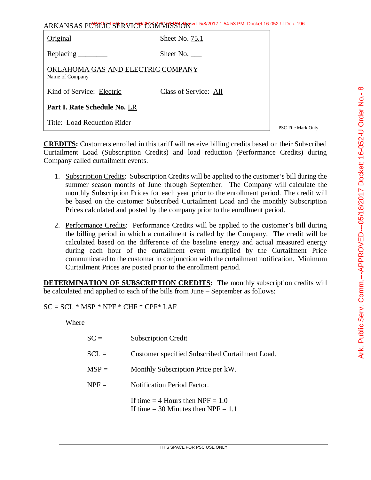| ARKANSAS PUBLIC <sup>L</sup> SERVICE CONTRISSION <sup>e 5/8/2017</sup> 1:54:53 PM: Docket 16-052-U-Doc. 196 |  |
|-------------------------------------------------------------------------------------------------------------|--|
|                                                                                                             |  |

| Original                                             | Sheet No. $75.1$      |
|------------------------------------------------------|-----------------------|
| Replacing                                            | Sheet No.             |
| OKLAHOMA GAS AND ELECTRIC COMPANY<br>Name of Company |                       |
| Kind of Service: Electric                            | Class of Service: All |
| Part I. Rate Schedule No. LR                         |                       |
| Title: Load Reduction Rider                          |                       |

PSC File Mark Only

**CREDITS:** Customers enrolled in this tariff will receive billing credits based on their Subscribed Curtailment Load (Subscription Credits) and load reduction (Performance Credits) during Company called curtailment events.

- 1. Subscription Credits: Subscription Credits will be applied to the customer's bill during the summer season months of June through September. The Company will calculate the monthly Subscription Prices for each year prior to the enrollment period. The credit will be based on the customer Subscribed Curtailment Load and the monthly Subscription Prices calculated and posted by the company prior to the enrollment period.
- 2. Performance Credits: Performance Credits will be applied to the customer's bill during the billing period in which a curtailment is called by the Company. The credit will be calculated based on the difference of the baseline energy and actual measured energy during each hour of the curtailment event multiplied by the Curtailment Price communicated to the customer in conjunction with the curtailment notification. Minimum Curtailment Prices are posted prior to the enrollment period.

**DETERMINATION OF SUBSCRIPTION CREDITS:** The monthly subscription credits will be calculated and applied to each of the bills from June – September as follows:

 $SC = SCL * MSP * NPF * CHF * CPF * LAF$ 

Where

| $SC =$  | <b>Subscription Credit</b>                                                    |
|---------|-------------------------------------------------------------------------------|
| $SCL =$ | Customer specified Subscribed Curtailment Load.                               |
| $MSP =$ | Monthly Subscription Price per kW.                                            |
| $NPF =$ | <b>Notification Period Factor.</b>                                            |
|         | If time $=$ 4 Hours then NPF $=$ 1.0<br>If time = 30 Minutes then $NPF = 1.1$ |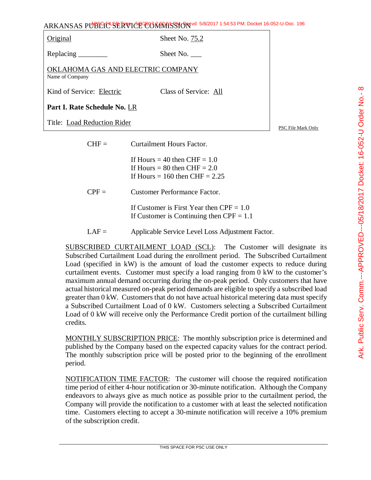ARKANSAS PUBLIC SERVICE COMMISSION 5/8/2017 1:54:53 PM: Docket 16-052-U-Doc. 196

| Original                                             | Sheet No. 75.2        |                    |
|------------------------------------------------------|-----------------------|--------------------|
| Replacing                                            | Sheet No.             |                    |
| OKLAHOMA GAS AND ELECTRIC COMPANY<br>Name of Company |                       |                    |
| Kind of Service: Electric                            | Class of Service: All |                    |
| Part I. Rate Schedule No. LR                         |                       |                    |
| Title: Load Reduction Rider                          |                       | PSC File Mark Only |

| $H =$   | Curtailment Hours Factor.                                                                              |
|---------|--------------------------------------------------------------------------------------------------------|
|         | If Hours $=$ 40 then CHF $= 1.0$<br>If Hours = 80 then $CHF = 2.0$<br>If Hours = 160 then CHF = $2.25$ |
| $CPF =$ | <b>Customer Performance Factor.</b>                                                                    |
|         | If Customer is First Year then $CPF = 1.0$<br>If Customer is Continuing then $CPF = 1.1$               |
| $LAF =$ | Applicable Service Level Loss Adjustment Factor.                                                       |

SUBSCRIBED CURTAILMENT LOAD (SCL): The Customer will designate its Subscribed Curtailment Load during the enrollment period. The Subscribed Curtailment Load (specified in kW) is the amount of load the customer expects to reduce during curtailment events. Customer must specify a load ranging from 0 kW to the customer's maximum annual demand occurring during the on-peak period. Only customers that have actual historical measured on-peak period demands are eligible to specify a subscribed load greater than 0 kW. Customers that do not have actual historical metering data must specify a Subscribed Curtailment Load of 0 kW. Customers selecting a Subscribed Curtailment Load of 0 kW will receive only the Performance Credit portion of the curtailment billing credits.

MONTHLY SUBSCRIPTION PRICE: The monthly subscription price is determined and published by the Company based on the expected capacity values for the contract period. The monthly subscription price will be posted prior to the beginning of the enrollment period.

NOTIFICATION TIME FACTOR: The customer will choose the required notification time period of either 4-hour notification or 30-minute notification. Although the Company endeavors to always give as much notice as possible prior to the curtailment period, the Company will provide the notification to a customer with at least the selected notification time. Customers electing to accept a 30-minute notification will receive a 10% premium of the subscription credit.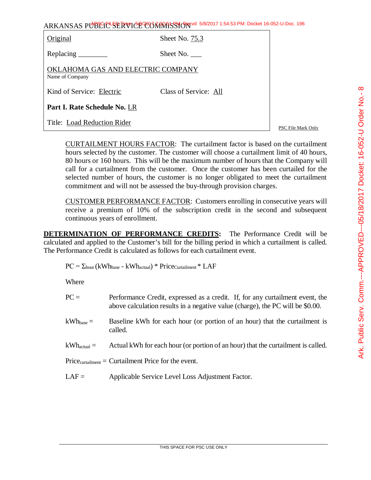| ARKANSAS PUBLIC SERVICE CONTRASSION 5/8/2017 1:54:53 PM: Docket 16-052-U-Doc. 196 |  |
|-----------------------------------------------------------------------------------|--|
|-----------------------------------------------------------------------------------|--|

| Original                                             | Sheet No. 75.3        |
|------------------------------------------------------|-----------------------|
|                                                      | Sheet No.             |
| OKLAHOMA GAS AND ELECTRIC COMPANY<br>Name of Company |                       |
| Kind of Service: Electric                            | Class of Service: All |
| Part I. Rate Schedule No. LR                         |                       |
| Title: Load Reduction Rider                          |                       |

PSC File Mark Only

CURTAILMENT HOURS FACTOR: The curtailment factor is based on the curtailment hours selected by the customer. The customer will choose a curtailment limit of 40 hours, 80 hours or 160 hours. This will be the maximum number of hours that the Company will call for a curtailment from the customer. Once the customer has been curtailed for the selected number of hours, the customer is no longer obligated to meet the curtailment commitment and will not be assessed the buy-through provision charges.

CUSTOMER PERFORMANCE FACTOR: Customers enrolling in consecutive years will receive a premium of 10% of the subscription credit in the second and subsequent continuous years of enrollment.

**DETERMINATION OF PERFORMANCE CREDITS:** The Performance Credit will be calculated and applied to the Customer's bill for the billing period in which a curtailment is called. The Performance Credit is calculated as follows for each curtailment event.

 $PC = \Sigma_{\text{hour}} (kWh_{\text{base}} - kWh_{\text{actual}}) * Price_{\text{Cuttailment}} * LAF$ 

**Where** 

| $PC =$                    | Performance Credit, expressed as a credit. If, for any curtailment event, the<br>above calculation results in a negative value (charge), the PC will be \$0.00. |
|---------------------------|-----------------------------------------------------------------------------------------------------------------------------------------------------------------|
| $\rm{kWh}_{\rm{base}}$ =  | Baseline kWh for each hour (or portion of an hour) that the curtailment is<br>called.                                                                           |
| $\rm{kWh}_{\rm actual} =$ | Actual kWh for each hour (or portion of an hour) that the curtailment is called.                                                                                |
|                           | $Price_{\text{cutailment}} =$ Curtailment Price for the event.                                                                                                  |
| $LAF =$                   | Applicable Service Level Loss Adjustment Factor.                                                                                                                |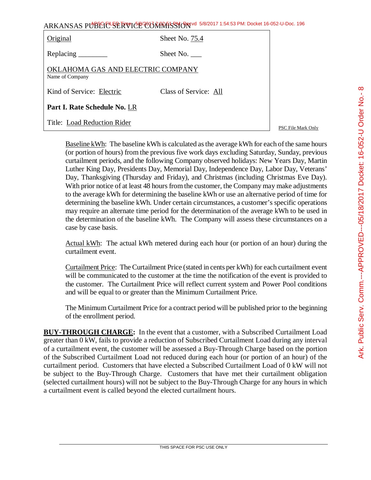|                                                      | ARKANSAS PUBLIC SERVICE COMMISSION 5/8/2017 1:54:53 PM: Docket 16-052-U-Doc. 196 |                    |
|------------------------------------------------------|----------------------------------------------------------------------------------|--------------------|
| Original                                             | Sheet No. 75.4                                                                   |                    |
| Replacing                                            | Sheet No. $\_\_$                                                                 |                    |
| OKLAHOMA GAS AND ELECTRIC COMPANY<br>Name of Company |                                                                                  |                    |
| Kind of Service: Electric                            | Class of Service: All                                                            |                    |
| Part I. Rate Schedule No. LR                         |                                                                                  |                    |
| Title: Load Reduction Rider                          |                                                                                  | PSC File Mark Only |

Baseline kWh: The baseline kWh is calculated as the average kWh for each of the same hours (or portion of hours) from the previous five work days excluding Saturday, Sunday, previous curtailment periods, and the following Company observed holidays: New Years Day, Martin Luther King Day, Presidents Day, Memorial Day, Independence Day, Labor Day, Veterans' Day, Thanksgiving (Thursday and Friday), and Christmas (including Christmas Eve Day). With prior notice of at least 48 hours from the customer, the Company may make adjustments to the average kWh for determining the baseline kWh or use an alternative period of time for determining the baseline kWh. Under certain circumstances, a customer's specific operations may require an alternate time period for the determination of the average kWh to be used in the determination of the baseline kWh. The Company will assess these circumstances on a case by case basis.

Actual kWh: The actual kWh metered during each hour (or portion of an hour) during the curtailment event.

Curtailment Price: The Curtailment Price (stated in cents per kWh) for each curtailment event will be communicated to the customer at the time the notification of the event is provided to the customer. The Curtailment Price will reflect current system and Power Pool conditions and will be equal to or greater than the Minimum Curtailment Price.

The Minimum Curtailment Price for a contract period will be published prior to the beginning of the enrollment period.

**BUY-THROUGH CHARGE:** In the event that a customer, with a Subscribed Curtailment Load greater than 0 kW, fails to provide a reduction of Subscribed Curtailment Load during any interval of a curtailment event, the customer will be assessed a Buy-Through Charge based on the portion of the Subscribed Curtailment Load not reduced during each hour (or portion of an hour) of the curtailment period. Customers that have elected a Subscribed Curtailment Load of 0 kW will not be subject to the Buy-Through Charge. Customers that have met their curtailment obligation (selected curtailment hours) will not be subject to the Buy-Through Charge for any hours in which a curtailment event is called beyond the elected curtailment hours.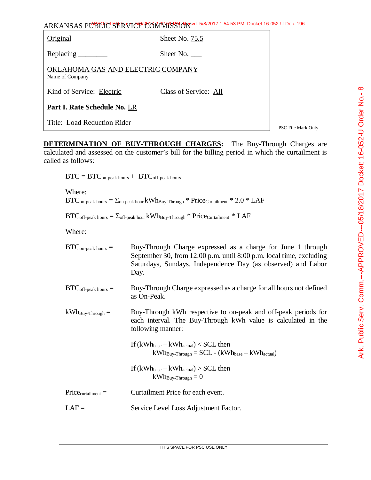Original Sheet No. 75.5

Replacing Sheet No.

OKLAHOMA GAS AND ELECTRIC COMPANY Name of Company

Kind of Service: Electric Class of Service: All

**Part I. Rate Schedule No.** LR

Title: Load Reduction Rider

PSC File Mark Only

**DETERMINATION OF BUY-THROUGH CHARGES:** The Buy-Through Charges are calculated and assessed on the customer's bill for the billing period in which the curtailment is called as follows:

 $BTC = BTC<sub>on-peak hours</sub> + BTC<sub>off-peak hours</sub>$ 

Where:  $BTC_{\text{on-peak hours}} = \sum_{\text{on-peak hour}} kWh_{\text{Buv-Through}} * Price_{\text{Cartailment}} * 2.0 * LAF$ 

 $BTC_{off-peak \; hours} = \sum_{off-peak \; hour} kWh_{By-Throught} * Price_{Cartailment} * LAF$ 

Where:

| $BTC_{on-peak \; hours} =$   | Buy-Through Charge expressed as a charge for June 1 through<br>September 30, from $12:00$ p.m. until $8:00$ p.m. local time, excluding<br>Saturdays, Sundays, Independence Day (as observed) and Labor<br>Day. |
|------------------------------|----------------------------------------------------------------------------------------------------------------------------------------------------------------------------------------------------------------|
| $BTC_{off-peak \; hours} =$  | Buy-Through Charge expressed as a charge for all hours not defined<br>as On-Peak.                                                                                                                              |
| $kWh_{\text{Buy-Through}} =$ | Buy-Through kWh respective to on-peak and off-peak periods for<br>each interval. The Buy-Through kWh value is calculated in the<br>following manner:                                                           |
|                              | If $(kWh_{base} - kWh_{actual}) < SCL$ then<br>$kWh_{\text{Buy-Throught}} = SCL - (kWh_{\text{base}} - kWh_{\text{actual}})$                                                                                   |
|                              | If $(kWh_{base} - kWh_{actual}) > SCL$ then<br>$kWh_{\text{Buv-Through}} = 0$                                                                                                                                  |
| $Price_{cutailment} =$       | Curtailment Price for each event.                                                                                                                                                                              |
| $LAF =$                      | Service Level Loss Adjustment Factor.                                                                                                                                                                          |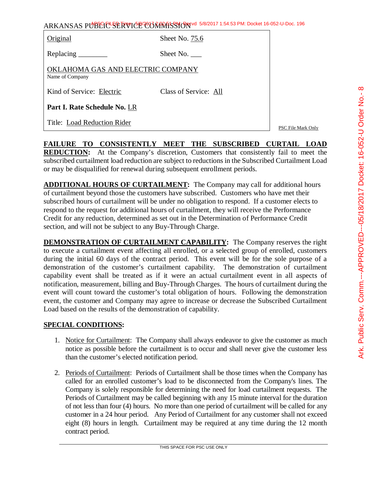| ARKANSAS PUBLICE SERVICE CORRATSSION 5/8/2017 1:54:53 PM: Docket 16-052-U-Doc. 196 |  |
|------------------------------------------------------------------------------------|--|
|------------------------------------------------------------------------------------|--|

| Original                                             | Sheet No. 75.6        |                           |
|------------------------------------------------------|-----------------------|---------------------------|
|                                                      | Sheet No. $\_\_$      |                           |
| OKLAHOMA GAS AND ELECTRIC COMPANY<br>Name of Company |                       |                           |
| Kind of Service: Electric                            | Class of Service: All |                           |
| Part I. Rate Schedule No. LR                         |                       |                           |
| Title: Load Reduction Rider                          |                       | <b>PSC File Mark Only</b> |

**FAILURE TO CONSISTENTLY MEET THE SUBSCRIBED CURTAIL LOAD REDUCTION:** At the Company's discretion, Customers that consistently fail to meet the subscribed curtailment load reduction are subject to reductions in the Subscribed Curtailment Load or may be disqualified for renewal during subsequent enrollment periods.

**ADDITIONAL HOURS OF CURTAILMENT:** The Company may call for additional hours of curtailment beyond those the customers have subscribed. Customers who have met their subscribed hours of curtailment will be under no obligation to respond. If a customer elects to respond to the request for additional hours of curtailment, they will receive the Performance Credit for any reduction, determined as set out in the Determination of Performance Credit section, and will not be subject to any Buy-Through Charge.

**DEMONSTRATION OF CURTAILMENT CAPABILITY:** The Company reserves the right to execute a curtailment event affecting all enrolled, or a selected group of enrolled, customers during the initial 60 days of the contract period. This event will be for the sole purpose of a demonstration of the customer's curtailment capability. The demonstration of curtailment capability event shall be treated as if it were an actual curtailment event in all aspects of notification, measurement, billing and Buy-Through Charges. The hours of curtailment during the event will count toward the customer's total obligation of hours. Following the demonstration event, the customer and Company may agree to increase or decrease the Subscribed Curtailment Load based on the results of the demonstration of capability.

## **SPECIAL CONDITIONS:**

- 1. Notice for Curtailment: The Company shall always endeavor to give the customer as much notice as possible before the curtailment is to occur and shall never give the customer less than the customer's elected notification period.
- 2. Periods of Curtailment: Periods of Curtailment shall be those times when the Company has called for an enrolled customer's load to be disconnected from the Company's lines. The Company is solely responsible for determining the need for load curtailment requests. The Periods of Curtailment may be called beginning with any 15 minute interval for the duration of not less than four (4) hours. No more than one period of curtailment will be called for any customer in a 24 hour period. Any Period of Curtailment for any customer shall not exceed eight (8) hours in length. Curtailment may be required at any time during the 12 month contract period.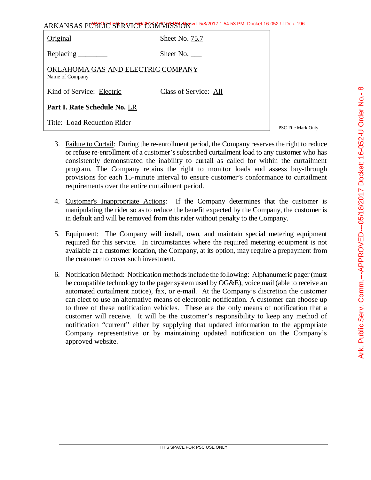| ARKANSAS PUBLIC-SERVICE CONTRASSION 5/8/2017 1:54:53 PM: Docket 16-052-U-Doc. 196 |                |  |  |  |  |
|-----------------------------------------------------------------------------------|----------------|--|--|--|--|
| <b>Original</b>                                                                   | Sheet No. 75.7 |  |  |  |  |

| Replacing | Sheet No. |
|-----------|-----------|
|-----------|-----------|

| OKLAHOMA GAS AND ELECTRIC COMPANY |  |  |
|-----------------------------------|--|--|
| Name of Company                   |  |  |

Kind of Service: Electric Class of Service: All

**Part I. Rate Schedule No.** LR

Title: Load Reduction Rider

PSC File Mark Only

- 3. Failure to Curtail: During the re-enrollment period, the Company reserves the right to reduce or refuse re-enrollment of a customer's subscribed curtailment load to any customer who has consistently demonstrated the inability to curtail as called for within the curtailment program. The Company retains the right to monitor loads and assess buy-through provisions for each 15-minute interval to ensure customer's conformance to curtailment requirements over the entire curtailment period.
- 4. Customer's Inappropriate Actions: If the Company determines that the customer is manipulating the rider so as to reduce the benefit expected by the Company, the customer is in default and will be removed from this rider without penalty to the Company.
- 5. Equipment: The Company will install, own, and maintain special metering equipment required for this service. In circumstances where the required metering equipment is not available at a customer location, the Company, at its option, may require a prepayment from the customer to cover such investment.
- 6. Notification Method: Notification methods include the following: Alphanumeric pager (must be compatible technology to the pager system used by OG&E), voice mail (able to receive an automated curtailment notice), fax, or e-mail. At the Company's discretion the customer can elect to use an alternative means of electronic notification. A customer can choose up to three of these notification vehicles. These are the only means of notification that a customer will receive. It will be the customer's responsibility to keep any method of notification "current" either by supplying that updated information to the appropriate Company representative or by maintaining updated notification on the Company's approved website.